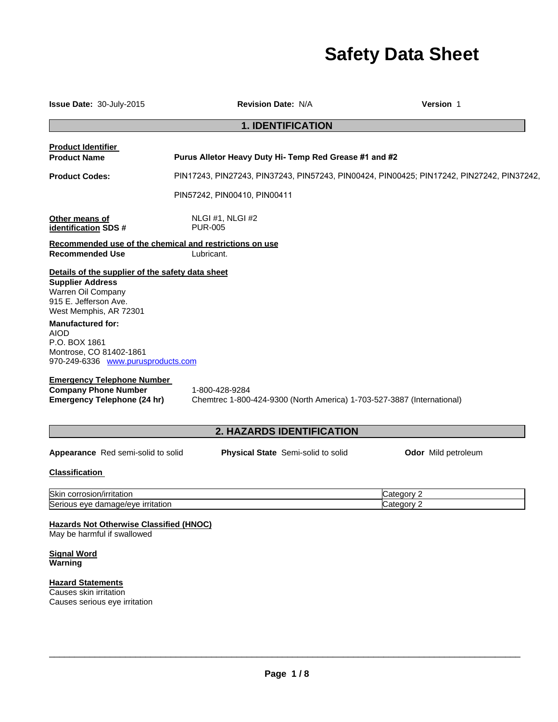# **Safety Data Sheet**

| Issue Date: 30-July-2015                                                                                                                                                                                                                                                                                                                                                                    | <b>Revision Date: N/A</b>                                                                 | Version 1                |
|---------------------------------------------------------------------------------------------------------------------------------------------------------------------------------------------------------------------------------------------------------------------------------------------------------------------------------------------------------------------------------------------|-------------------------------------------------------------------------------------------|--------------------------|
|                                                                                                                                                                                                                                                                                                                                                                                             | <b>1. IDENTIFICATION</b>                                                                  |                          |
| <b>Product Identifier</b><br><b>Product Name</b>                                                                                                                                                                                                                                                                                                                                            | Purus Alletor Heavy Duty Hi- Temp Red Grease #1 and #2                                    |                          |
| <b>Product Codes:</b>                                                                                                                                                                                                                                                                                                                                                                       | PIN17243, PIN27243, PIN37243, PIN57243, PIN00424, PIN00425; PIN17242, PIN27242, PIN37242, |                          |
|                                                                                                                                                                                                                                                                                                                                                                                             | PIN57242, PIN00410, PIN00411                                                              |                          |
| Other means of<br>identification SDS #                                                                                                                                                                                                                                                                                                                                                      | NLGI#1, NLGI#2<br><b>PUR-005</b>                                                          |                          |
| <b>Recommended Use</b>                                                                                                                                                                                                                                                                                                                                                                      | Recommended use of the chemical and restrictions on use<br>Lubricant.                     |                          |
| Details of the supplier of the safety data sheet<br><b>Supplier Address</b><br>Warren Oil Company<br>915 E. Jefferson Ave.<br>West Memphis, AR 72301<br><b>Manufactured for:</b><br><b>AIOD</b><br>P.O. BOX 1861<br>Montrose, CO 81402-1861<br>970-249-6336 www.purusproducts.com<br><b>Emergency Telephone Number</b><br><b>Company Phone Number</b><br><b>Emergency Telephone (24 hr)</b> | 1-800-428-9284<br>Chemtrec 1-800-424-9300 (North America) 1-703-527-3887 (International)  |                          |
|                                                                                                                                                                                                                                                                                                                                                                                             | 2. HAZARDS IDENTIFICATION                                                                 |                          |
| Appearance Red semi-solid to solid                                                                                                                                                                                                                                                                                                                                                          | <b>Physical State</b> Semi-solid to solid                                                 | Odor Mild petroleum      |
| <b>Classification</b>                                                                                                                                                                                                                                                                                                                                                                       |                                                                                           |                          |
| Skin corrosion/irritation<br>Serious eye damage/eye irritation                                                                                                                                                                                                                                                                                                                              |                                                                                           | Category 2<br>Category 2 |
| <b>Hazards Not Otherwise Classified (HNOC)</b><br>May be harmful if swallowed                                                                                                                                                                                                                                                                                                               |                                                                                           |                          |
| <b>Signal Word</b><br>Warning                                                                                                                                                                                                                                                                                                                                                               |                                                                                           |                          |
| <b>Hazard Statements</b>                                                                                                                                                                                                                                                                                                                                                                    |                                                                                           |                          |

Causes skin irritation Causes serious eye irritation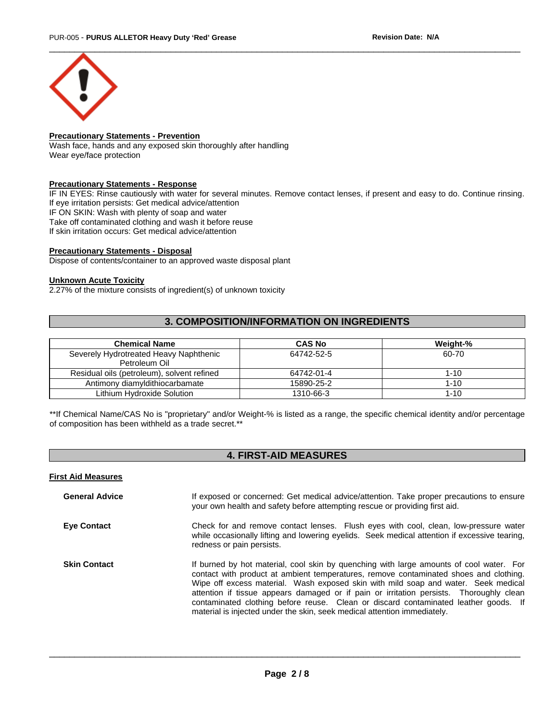

# **Precautionary Statements - Prevention**

Wash face, hands and any exposed skin thoroughly after handling Wear eye/face protection

## **Precautionary Statements - Response**

IF IN EYES: Rinse cautiously with water for several minutes. Remove contact lenses, if present and easy to do. Continue rinsing. If eye irritation persists: Get medical advice/attention IF ON SKIN: Wash with plenty of soap and water Take off contaminated clothing and wash it before reuse If skin irritation occurs: Get medical advice/attention

## **Precautionary Statements - Disposal**

Dispose of contents/container to an approved waste disposal plant

## **Unknown Acute Toxicity**

2.27% of the mixture consists of ingredient(s) of unknown toxicity

# **3. COMPOSITION/INFORMATION ON INGREDIENTS**

| <b>Chemical Name</b>                                    | <b>CAS No</b> | Weight-% |
|---------------------------------------------------------|---------------|----------|
| Severely Hydrotreated Heavy Naphthenic<br>Petroleum Oil | 64742-52-5    | 60-70    |
| Residual oils (petroleum), solvent refined              | 64742-01-4    | $1 - 10$ |
| Antimony diamyldithiocarbamate                          | 15890-25-2    | $1 - 10$ |
| Lithium Hydroxide Solution                              | 1310-66-3     | $1 - 10$ |

\*\*If Chemical Name/CAS No is "proprietary" and/or Weight-% is listed as a range, the specific chemical identity and/or percentage of composition has been withheld as a trade secret.\*\*

# **4. FIRST-AID MEASURES**

# **First Aid Measures**

| <b>General Advice</b> | If exposed or concerned: Get medical advice/attention. Take proper precautions to ensure<br>your own health and safety before attempting rescue or providing first aid.                                                                                                                                                                                                                                                                                                                                                              |
|-----------------------|--------------------------------------------------------------------------------------------------------------------------------------------------------------------------------------------------------------------------------------------------------------------------------------------------------------------------------------------------------------------------------------------------------------------------------------------------------------------------------------------------------------------------------------|
| <b>Eye Contact</b>    | Check for and remove contact lenses. Flush eyes with cool, clean, low-pressure water<br>while occasionally lifting and lowering eyelids. Seek medical attention if excessive tearing,<br>redness or pain persists.                                                                                                                                                                                                                                                                                                                   |
| <b>Skin Contact</b>   | If burned by hot material, cool skin by quenching with large amounts of cool water. For<br>contact with product at ambient temperatures, remove contaminated shoes and clothing.<br>Wipe off excess material. Wash exposed skin with mild soap and water. Seek medical<br>attention if tissue appears damaged or if pain or irritation persists. Thoroughly clean<br>contaminated clothing before reuse. Clean or discard contaminated leather goods. If<br>material is injected under the skin, seek medical attention immediately. |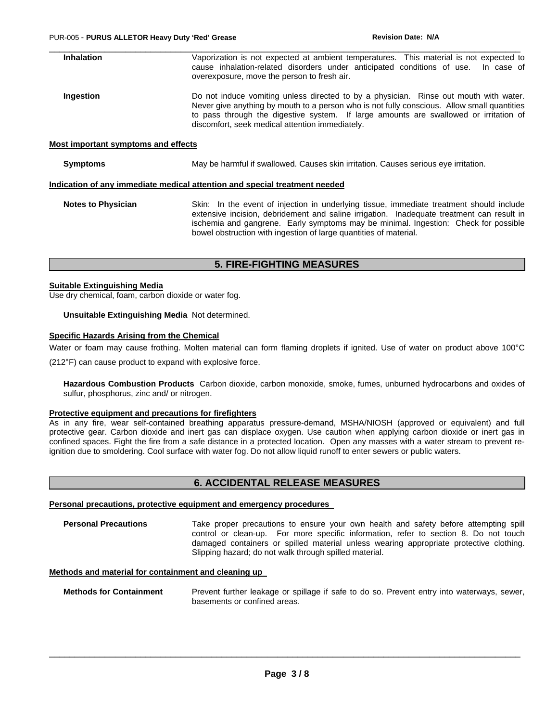| <b>Inhalation</b>                   | Vaporization is not expected at ambient temperatures. This material is not expected to<br>cause inhalation-related disorders under anticipated conditions of use. In case of<br>overexposure, move the person to fresh air.                                                                                                      |
|-------------------------------------|----------------------------------------------------------------------------------------------------------------------------------------------------------------------------------------------------------------------------------------------------------------------------------------------------------------------------------|
| Ingestion                           | Do not induce vomiting unless directed to by a physician. Rinse out mouth with water.<br>Never give anything by mouth to a person who is not fully conscious. Allow small quantities<br>to pass through the digestive system. If large amounts are swallowed or irritation of<br>discomfort, seek medical attention immediately. |
| Most important symptoms and effects |                                                                                                                                                                                                                                                                                                                                  |
| <b>Symptoms</b>                     | May be harmful if swallowed. Causes skin irritation. Causes serious eye irritation.                                                                                                                                                                                                                                              |
|                                     | Indication of any immediate medical attention and special treatment needed                                                                                                                                                                                                                                                       |
|                                     |                                                                                                                                                                                                                                                                                                                                  |

**Notes to Physician** Skin: In the event of injection in underlying tissue, immediate treatment should include extensive incision, debridement and saline irrigation. Inadequate treatment can result in ischemia and gangrene. Early symptoms may be minimal. Ingestion: Check for possible bowel obstruction with ingestion of large quantities of material.

# **5. FIRE-FIGHTING MEASURES**

#### **Suitable Extinguishing Media**

Use dry chemical, foam, carbon dioxide or water fog.

#### **Unsuitable Extinguishing Media** Not determined.

# **Specific Hazards Arising from the Chemical**

Water or foam may cause frothing. Molten material can form flaming droplets if ignited. Use of water on product above 100°C

(212°F) can cause product to expand with explosive force.

**Hazardous Combustion Products** Carbon dioxide, carbon monoxide, smoke, fumes, unburned hydrocarbons and oxides of sulfur, phosphorus, zinc and/ or nitrogen.

#### **Protective equipment and precautions for firefighters**

As in any fire, wear self-contained breathing apparatus pressure-demand, MSHA/NIOSH (approved or equivalent) and full protective gear. Carbon dioxide and inert gas can displace oxygen. Use caution when applying carbon dioxide or inert gas in confined spaces. Fight the fire from a safe distance in a protected location. Open any masses with a water stream to prevent reignition due to smoldering. Cool surface with water fog. Do not allow liquid runoff to enter sewers or public waters.

# **6. ACCIDENTAL RELEASE MEASURES**

#### **Personal precautions, protective equipment and emergency procedures**

**Personal Precautions** Take proper precautions to ensure your own health and safety before attempting spill control or clean-up. For more specific information, refer to section 8. Do not touch damaged containers or spilled material unless wearing appropriate protective clothing. Slipping hazard; do not walk through spilled material.

#### **Methods and material for containment and cleaning up**

**Methods for Containment** Prevent further leakage or spillage if safe to do so. Prevent entry into waterways, sewer, basements or confined areas.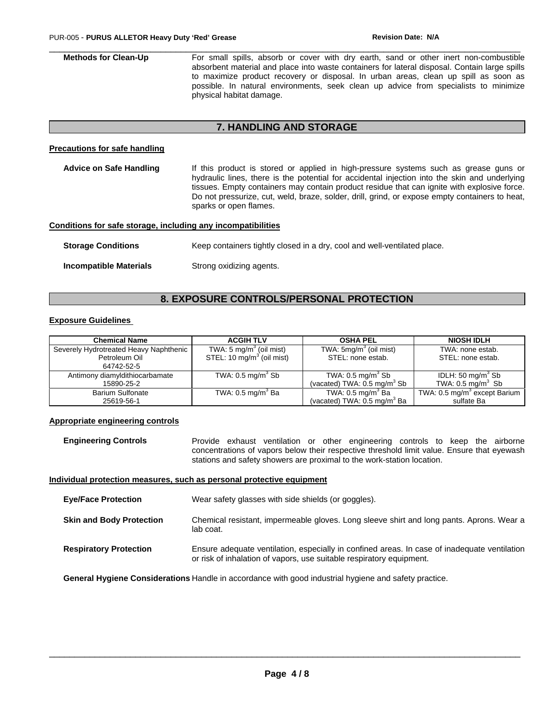**Methods for Clean-Up** For small spills, absorb or cover with dry earth, sand or other inert non-combustible absorbent material and place into waste containers for lateral disposal. Contain large spills to maximize product recovery or disposal. In urban areas, clean up spill as soon as possible. In natural environments, seek clean up advice from specialists to minimize physical habitat damage.

 $\Box$ 

# **7. HANDLING AND STORAGE**

#### **Precautions for safe handling**

| Advice on Safe Handling                                      | If this product is stored or applied in high-pressure systems such as grease guns or<br>hydraulic lines, there is the potential for accidental injection into the skin and underlying<br>tissues. Empty containers may contain product residue that can ignite with explosive force.<br>Do not pressurize, cut, weld, braze, solder, drill, grind, or expose empty containers to heat,<br>sparks or open flames. |
|--------------------------------------------------------------|------------------------------------------------------------------------------------------------------------------------------------------------------------------------------------------------------------------------------------------------------------------------------------------------------------------------------------------------------------------------------------------------------------------|
| Conditions for safe storage, including any incompatibilities |                                                                                                                                                                                                                                                                                                                                                                                                                  |
| <b>Storage Conditions</b>                                    | Keep containers tightly closed in a dry, cool and well-ventilated place.                                                                                                                                                                                                                                                                                                                                         |

# **Incompatible Materials Strong oxidizing agents.**

# **8. EXPOSURE CONTROLS/PERSONAL PROTECTION**

# **Exposure Guidelines**

| <b>Chemical Name</b>                   | <b>ACGIH TLV</b>                      | <b>OSHA PEL</b>                         | <b>NIOSH IDLH</b>                        |
|----------------------------------------|---------------------------------------|-----------------------------------------|------------------------------------------|
| Severely Hydrotreated Heavy Naphthenic | TWA: $5 \text{ mg/m}^3$ (oil mist)    | TWA: $5mg/m3$ (oil mist)                | TWA: none estab.                         |
| Petroleum Oil                          | STEL: 10 mg/m <sup>3</sup> (oil mist) | STEL: none estab.                       | STEL: none estab.                        |
| 64742-52-5                             |                                       |                                         |                                          |
| Antimony diamyldithiocarbamate         | TWA: $0.5 \text{ mg/m}^3$ Sb          | TWA: $0.5 \text{ mg/m}^3$ Sb            | IDLH: 50 mg/m <sup>3</sup> Sb            |
| 15890-25-2                             |                                       | (vacated) TWA: $0.5 \text{ mg/m}^3$ Sb  | TWA: $0.5 \text{ mg/m}^3$ Sb             |
| <b>Barium Sulfonate</b>                | TWA: $0.5 \text{ mg/m}^3$ Ba          | TWA: $0.5 \text{ mg/m}^3$ Ba            | TWA: 0.5 mg/m <sup>3</sup> except Barium |
| 25619-56-1                             |                                       | (vacated) TWA: 0.5 mg/m <sup>3</sup> Ba | sulfate Ba                               |

#### **Appropriate engineering controls**

**Engineering Controls** Provide exhaust ventilation or other engineering controls to keep the airborne concentrations of vapors below their respective threshold limit value. Ensure that eyewash stations and safety showers are proximal to the work-station location.

#### **Individual protection measures, such as personal protective equipment**

**Eye/Face Protection** Wear safety glasses with side shields (or goggles).

- **Skin and Body Protection** Chemical resistant, impermeable gloves. Long sleeve shirt and long pants. Aprons. Wear a lab coat.
- **Respiratory Protection** Ensure adequate ventilation, especially in confined areas. In case of inadequate ventilation or risk of inhalation of vapors, use suitable respiratory equipment.

**General Hygiene Considerations** Handle in accordance with good industrial hygiene and safety practice.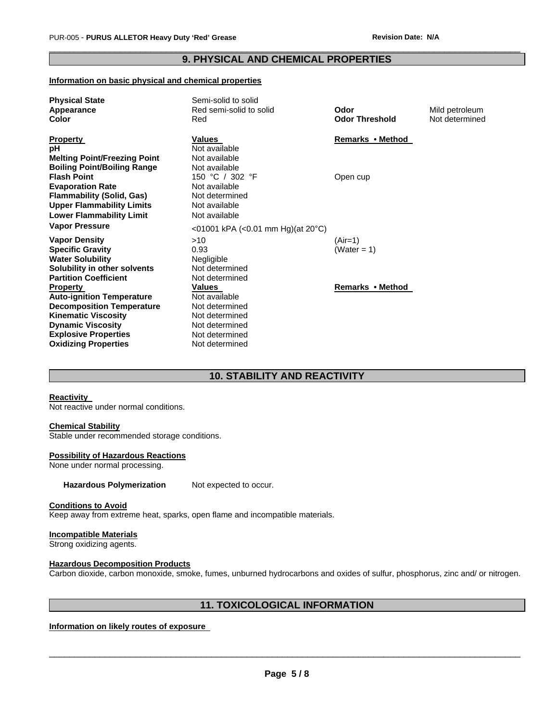# $\Box$ **9. PHYSICAL AND CHEMICAL PROPERTIES**

#### **Information on basic physical and chemical properties**

| <b>Physical State</b>               | Semi-solid to solid                                 |                       |                |
|-------------------------------------|-----------------------------------------------------|-----------------------|----------------|
| Appearance                          | Red semi-solid to solid                             | Odor                  | Mild petroleum |
| Color                               | Red                                                 | <b>Odor Threshold</b> | Not determined |
| <b>Property</b>                     | <b>Values</b>                                       | Remarks • Method      |                |
| рH                                  | Not available                                       |                       |                |
| <b>Melting Point/Freezing Point</b> | Not available                                       |                       |                |
| <b>Boiling Point/Boiling Range</b>  | Not available                                       |                       |                |
| <b>Flash Point</b>                  | 150 °C / 302 °F                                     | Open cup              |                |
| <b>Evaporation Rate</b>             | Not available                                       |                       |                |
| <b>Flammability (Solid, Gas)</b>    | Not determined                                      |                       |                |
| <b>Upper Flammability Limits</b>    | Not available                                       |                       |                |
| <b>Lower Flammability Limit</b>     | Not available                                       |                       |                |
| <b>Vapor Pressure</b>               | $<$ 01001 kPA ( $<$ 0.01 mm Hg)(at 20 $^{\circ}$ C) |                       |                |
| <b>Vapor Density</b>                | >10                                                 | (Air=1)               |                |
| <b>Specific Gravity</b>             | 0.93                                                | (Water = 1)           |                |
| <b>Water Solubility</b>             | Negligible                                          |                       |                |
| Solubility in other solvents        | Not determined                                      |                       |                |
| <b>Partition Coefficient</b>        | Not determined                                      |                       |                |
| <b>Property</b>                     | Values                                              | Remarks • Method      |                |
| <b>Auto-ignition Temperature</b>    | Not available                                       |                       |                |
| <b>Decomposition Temperature</b>    | Not determined                                      |                       |                |
| <b>Kinematic Viscosity</b>          | Not determined                                      |                       |                |
| <b>Dynamic Viscosity</b>            | Not determined                                      |                       |                |
| <b>Explosive Properties</b>         | Not determined                                      |                       |                |
| <b>Oxidizing Properties</b>         | Not determined                                      |                       |                |

# **10. STABILITY AND REACTIVITY**

#### **Reactivity**

Not reactive under normal conditions.

#### **Chemical Stability**

Stable under recommended storage conditions.

# **Possibility of Hazardous Reactions**

None under normal processing.

Hazardous Polymerization Not expected to occur.

# **Conditions to Avoid**

Keep away from extreme heat, sparks, open flame and incompatible materials.

#### **Incompatible Materials**

Strong oxidizing agents.

# **Hazardous Decomposition Products**

Carbon dioxide, carbon monoxide, smoke, fumes, unburned hydrocarbons and oxides of sulfur, phosphorus, zinc and/ or nitrogen.

# **11. TOXICOLOGICAL INFORMATION**

# **Information on likely routes of exposure**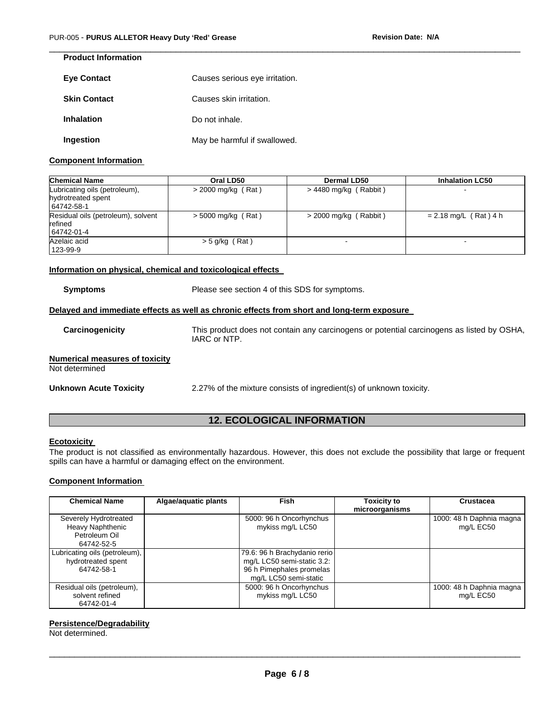| <b>Product Information</b> |                                |
|----------------------------|--------------------------------|
| <b>Eye Contact</b>         | Causes serious eye irritation. |
| <b>Skin Contact</b>        | Causes skin irritation.        |
| <b>Inhalation</b>          | Do not inhale.                 |
| Ingestion                  | May be harmful if swallowed.   |

# **Component Information**

| <b>Chemical Name</b>                                              | Oral LD50            | <b>Dermal LD50</b>      | <b>Inhalation LC50</b>  |
|-------------------------------------------------------------------|----------------------|-------------------------|-------------------------|
| Lubricating oils (petroleum),<br>hydrotreated spent<br>64742-58-1 | $>$ 2000 mg/kg (Rat) | $> 4480$ mg/kg (Rabbit) |                         |
| Residual oils (petroleum), solvent<br>refined<br>64742-01-4       | $>$ 5000 mg/kg (Rat) | $>$ 2000 mg/kg (Rabbit) | $= 2.18$ mg/L (Rat) 4 h |
| Azelaic acid<br>123-99-9                                          | $>$ 5 g/kg (Rat)     |                         |                         |

 $\Box$ 

## **Information on physical, chemical and toxicological effects**

| <b>Symptoms</b>                                         | Please see section 4 of this SDS for symptoms.                                                            |
|---------------------------------------------------------|-----------------------------------------------------------------------------------------------------------|
|                                                         | Delayed and immediate effects as well as chronic effects from short and long-term exposure                |
| Carcinogenicity                                         | This product does not contain any carcinogens or potential carcinogens as listed by OSHA,<br>IARC or NTP. |
| <b>Numerical measures of toxicity</b><br>Not determined |                                                                                                           |
| Unknown Acute Toxicity                                  | 2.27% of the mixture consists of ingredient(s) of unknown toxicity.                                       |

# **12. ECOLOGICAL INFORMATION**

# **Ecotoxicity**

The product is not classified as environmentally hazardous. However, this does not exclude the possibility that large or frequent spills can have a harmful or damaging effect on the environment.

# **Component Information**

| <b>Chemical Name</b>                                                     | Algae/aquatic plants | <b>Fish</b>                                                                                                     | <b>Toxicity to</b><br>microorganisms | Crustacea                             |
|--------------------------------------------------------------------------|----------------------|-----------------------------------------------------------------------------------------------------------------|--------------------------------------|---------------------------------------|
| Severely Hydrotreated<br>Heavy Naphthenic<br>Petroleum Oil<br>64742-52-5 |                      | 5000: 96 h Oncorhynchus<br>mykiss mg/L LC50                                                                     |                                      | 1000: 48 h Daphnia magna<br>mg/L EC50 |
| Lubricating oils (petroleum),<br>hydrotreated spent<br>64742-58-1        |                      | 79.6: 96 h Brachydanio rerio<br>mg/L LC50 semi-static 3.2:<br>96 h Pimephales promelas<br>mg/L LC50 semi-static |                                      |                                       |
| Residual oils (petroleum),<br>solvent refined<br>64742-01-4              |                      | 5000: 96 h Oncorhynchus<br>mykiss mg/L LC50                                                                     |                                      | 1000: 48 h Daphnia magna<br>mg/L EC50 |

# **Persistence/Degradability**

Not determined.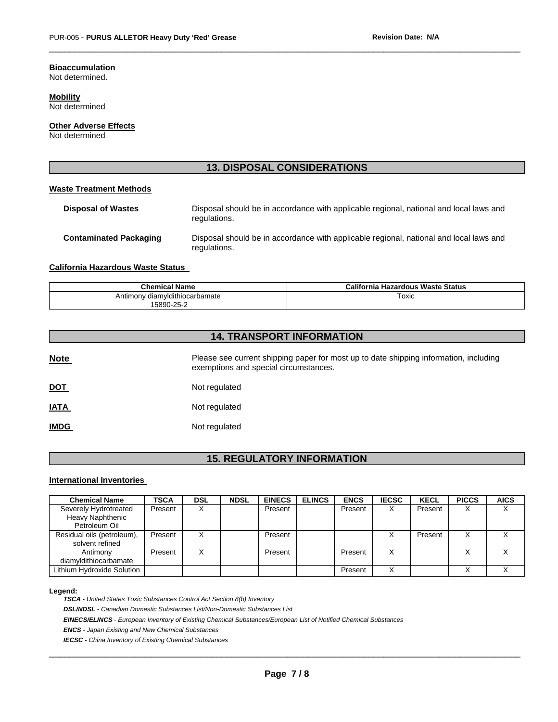# **Bioaccumulation**

Not determined.

**Mobility** Not determined

**Other Adverse Effects**

Not determined

# **13. DISPOSAL CONSIDERATIONS**

 $\Box$ 

#### **Waste Treatment Methods**

| <b>Disposal of Wastes</b>     | Disposal should be in accordance with applicable regional, national and local laws and<br>regulations. |
|-------------------------------|--------------------------------------------------------------------------------------------------------|
| <b>Contaminated Packaging</b> | Disposal should be in accordance with applicable regional, national and local laws and<br>regulations. |

## **California Hazardous Waste Status**

| <b>Chemical Name</b>           | California<br>। Hazardous Waste Status |
|--------------------------------|----------------------------------------|
| Antimony diamyldithiocarbamate | <sup>-</sup> oxic<br>$\sim$ $\sim$     |
| $-25 - 2$<br>5890              |                                        |

# **14. TRANSPORT INFORMATION**

| <b>Note</b> | Please see current shipping paper for most up to date shipping information, including<br>exemptions and special circumstances. |
|-------------|--------------------------------------------------------------------------------------------------------------------------------|
| <u>DOT</u>  | Not regulated                                                                                                                  |
| <u>IATA</u> | Not regulated                                                                                                                  |
| <u>IMDG</u> | Not regulated                                                                                                                  |

# **15. REGULATORY INFORMATION**

#### **International Inventories**

| <b>Chemical Name</b>                                       | <b>TSCA</b> | <b>DSL</b> | <b>NDSL</b> | <b>EINECS</b> | <b>ELINCS</b> | <b>ENCS</b> | <b>IECSC</b> | <b>KECL</b> | <b>PICCS</b>      | <b>AICS</b>       |
|------------------------------------------------------------|-------------|------------|-------------|---------------|---------------|-------------|--------------|-------------|-------------------|-------------------|
| Severely Hydrotreated<br>Heavy Naphthenic<br>Petroleum Oil | Present     | v<br>∧     |             | Present       |               | Present     | X            | Present     | X                 | $\checkmark$<br>∧ |
| Residual oils (petroleum),<br>solvent refined              | Present     |            |             | Present       |               |             |              | Present     | v<br>⋏            |                   |
| Antimony<br>diamvldithiocarbamate                          | Present     | v          |             | Present       |               | Present     | X            |             | $\checkmark$<br>⌒ |                   |
| Lithium Hydroxide Solution                                 |             |            |             |               |               | Present     | x            |             |                   |                   |

#### **Legend:**

*TSCA - United States Toxic Substances Control Act Section 8(b) Inventory* 

*DSL/NDSL - Canadian Domestic Substances List/Non-Domestic Substances List* 

*EINECS/ELINCS - European Inventory of Existing Chemical Substances/European List of Notified Chemical Substances* 

*ENCS - Japan Existing and New Chemical Substances* 

*IECSC - China Inventory of Existing Chemical Substances*